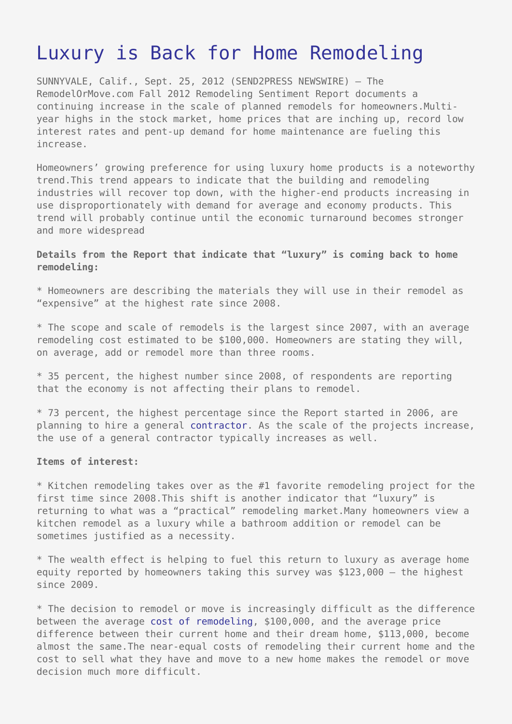## [Luxury is Back for Home Remodeling](https://www.send2press.com/wire/luxury-is-back-for-home-remodeling_2012-09-0925-007/)

SUNNYVALE, Calif., Sept. 25, 2012 (SEND2PRESS NEWSWIRE) — The RemodelOrMove.com Fall 2012 Remodeling Sentiment Report documents a continuing increase in the scale of planned remodels for homeowners.Multiyear highs in the stock market, home prices that are inching up, record low interest rates and pent-up demand for home maintenance are fueling this increase.

Homeowners' growing preference for using luxury home products is a noteworthy trend.This trend appears to indicate that the building and remodeling industries will recover top down, with the higher-end products increasing in use disproportionately with demand for average and economy products. This trend will probably continue until the economic turnaround becomes stronger and more widespread

**Details from the Report that indicate that "luxury" is coming back to home remodeling:**

\* Homeowners are describing the materials they will use in their remodel as "expensive" at the highest rate since 2008.

\* The scope and scale of remodels is the largest since 2007, with an average remodeling cost estimated to be \$100,000. Homeowners are stating they will, on average, add or remodel more than three rooms.

\* 35 percent, the highest number since 2008, of respondents are reporting that the economy is not affecting their plans to remodel.

\* 73 percent, the highest percentage since the Report started in 2006, are planning to hire a general [contractor.](http://www.remodelormove.com/contractor-referral) As the scale of the projects increase, the use of a general contractor typically increases as well.

## **Items of interest:**

\* Kitchen remodeling takes over as the #1 favorite remodeling project for the first time since 2008.This shift is another indicator that "luxury" is returning to what was a "practical" remodeling market.Many homeowners view a kitchen remodel as a luxury while a bathroom addition or remodel can be sometimes justified as a necessity.

\* The wealth effect is helping to fuel this return to luxury as average home equity reported by homeowners taking this survey was \$123,000 – the highest since 2009.

\* The decision to remodel or move is increasingly difficult as the difference between the average [cost of remodeling](http://www.remodelormove.com/remodel-cost-calculators), \$100,000, and the average price difference between their current home and their dream home, \$113,000, become almost the same.The near-equal costs of remodeling their current home and the cost to sell what they have and move to a new home makes the remodel or move decision much more difficult.